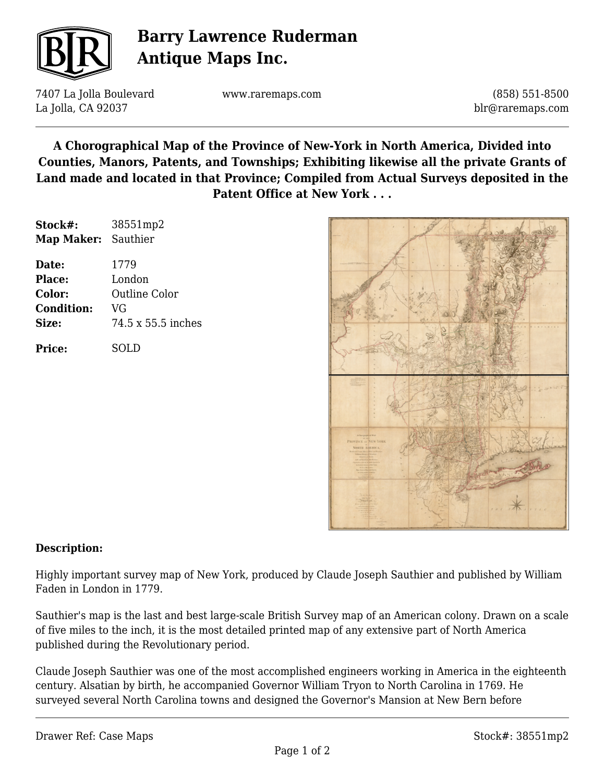

# **Barry Lawrence Ruderman Antique Maps Inc.**

7407 La Jolla Boulevard La Jolla, CA 92037

www.raremaps.com

(858) 551-8500 blr@raremaps.com

**A Chorographical Map of the Province of New-York in North America, Divided into Counties, Manors, Patents, and Townships; Exhibiting likewise all the private Grants of Land made and located in that Province; Compiled from Actual Surveys deposited in the Patent Office at New York . . .**

| Stock#:             | 38551mp2           |
|---------------------|--------------------|
| Map Maker: Sauthier |                    |
| Date:               | 1779               |
| Place:              | London             |
| Color:              | Outline Color      |
| <b>Condition:</b>   | VG                 |
| Size:               | 74.5 x 55.5 inches |
| Price:              | SOLD               |



### **Description:**

Highly important survey map of New York, produced by Claude Joseph Sauthier and published by William Faden in London in 1779.

Sauthier's map is the last and best large-scale British Survey map of an American colony. Drawn on a scale of five miles to the inch, it is the most detailed printed map of any extensive part of North America published during the Revolutionary period.

Claude Joseph Sauthier was one of the most accomplished engineers working in America in the eighteenth century. Alsatian by birth, he accompanied Governor William Tryon to North Carolina in 1769. He surveyed several North Carolina towns and designed the Governor's Mansion at New Bern before